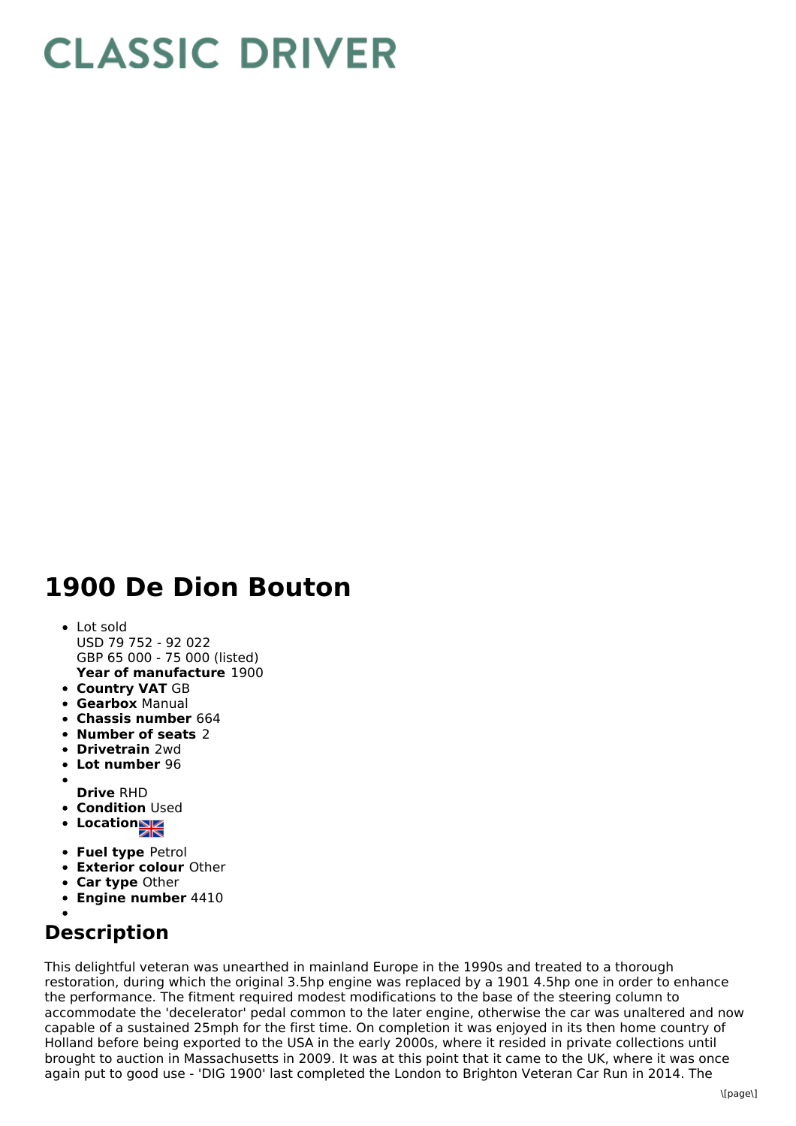## **CLASSIC DRIVER**

## **1900 De Dion Bouton**

- **Year of manufacture** 1900 Lot sold USD 79 752 - 92 022 GBP 65 000 - 75 000 (listed)
- **Country VAT** GB
- **Gearbox** Manual
- **Chassis number** 664
- **Number of seats** 2
- **Drivetrain** 2wd
- **Lot number** 96
- **Drive** RHD
- **Condition** Used
- **Location**
- **Fuel type** Petrol
- **Exterior colour** Other
- **Car type** Other
- **Engine number** 4410
- 

## **Description**

This delightful veteran was unearthed in mainland Europe in the 1990s and treated to a thorough restoration, during which the original 3.5hp engine was replaced by a 1901 4.5hp one in order to enhance the performance. The fitment required modest modifications to the base of the steering column to accommodate the 'decelerator' pedal common to the later engine, otherwise the car was unaltered and now capable of a sustained 25mph for the first time. On completion it was enjoyed in its then home country of Holland before being exported to the USA in the early 2000s, where it resided in private collections until brought to auction in Massachusetts in 2009. It was at this point that it came to the UK, where it was once again put to good use - 'DIG 1900' last completed the London to Brighton Veteran Car Run in 2014. The